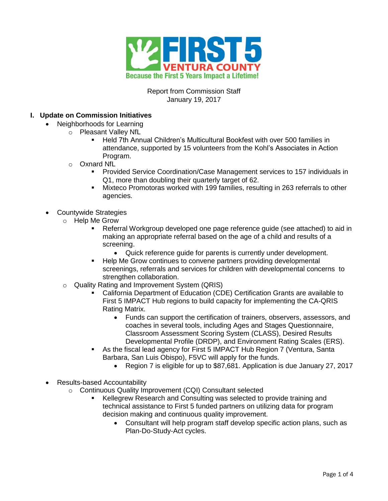

Report from Commission Staff January 19, 2017

### **I. Update on Commission Initiatives**

- Neighborhoods for Learning
	- o Pleasant Valley NfL
		- Held 7th Annual Children's Multicultural Bookfest with over 500 families in attendance, supported by 15 volunteers from the Kohl's Associates in Action Program.
		- o Oxnard NfL
			- Provided Service Coordination/Case Management services to 157 individuals in Q1, more than doubling their quarterly target of 62.
			- Mixteco Promotoras worked with 199 families, resulting in 263 referrals to other agencies.
- Countywide Strategies
	- o Help Me Grow
		- Referral Workgroup developed one page reference guide (see attached) to aid in making an appropriate referral based on the age of a child and results of a screening.
			- Quick reference guide for parents is currently under development.
		- Help Me Grow continues to convene partners providing developmental screenings, referrals and services for children with developmental concerns to strengthen collaboration.
	- o Quality Rating and Improvement System (QRIS)
		- California Department of Education (CDE) Certification Grants are available to First 5 IMPACT Hub regions to build capacity for implementing the CA-QRIS Rating Matrix.
			- Funds can support the certification of trainers, observers, assessors, and coaches in several tools, including Ages and Stages Questionnaire, Classroom Assessment Scoring System (CLASS), Desired Results Developmental Profile (DRDP), and Environment Rating Scales (ERS).
		- As the fiscal lead agency for First 5 IMPACT Hub Region 7 (Ventura, Santa Barbara, San Luis Obispo), F5VC will apply for the funds.
			- Region 7 is eligible for up to \$87,681. Application is due January 27, 2017
- Results-based Accountability
	- o Continuous Quality Improvement (CQI) Consultant selected
		- Kellegrew Research and Consulting was selected to provide training and technical assistance to First 5 funded partners on utilizing data for program decision making and continuous quality improvement.
			- Consultant will help program staff develop specific action plans, such as Plan-Do-Study-Act cycles.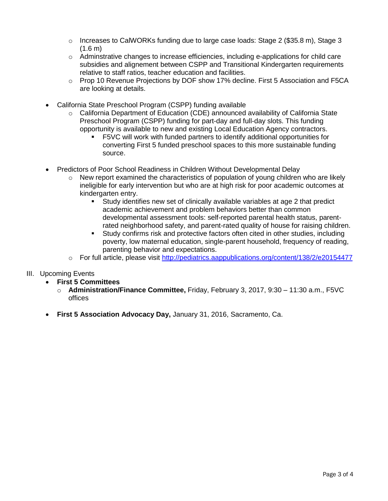- $\circ$  Increases to CalWORKs funding due to large case loads: Stage 2 (\$35.8 m), Stage 3  $(1.6 m)$
- $\circ$  Adminstrative changes to increase efficiencies, including e-applications for child care subsidies and alignement between CSPP and Transitional Kindergarten requirements relative to staff ratios, teacher education and facilities.
- o Prop 10 Revenue Projections by DOF show 17% decline. First 5 Association and F5CA are looking at details.
- California State Preschool Program (CSPP) funding available
	- $\circ$  California Department of Education (CDE) announced availability of California State Preschool Program (CSPP) funding for part-day and full-day slots. This funding opportunity is available to new and existing Local Education Agency contractors.
		- F5VC will work with funded partners to identify additional opportunities for converting First 5 funded preschool spaces to this more sustainable funding source.
- Predictors of Poor School Readiness in Children Without Developmental Delay
	- o New report examined the characteristics of population of young children who are likely ineligible for early intervention but who are at high risk for poor academic outcomes at kindergarten entry.
		- Study identifies new set of clinically available variables at age 2 that predict academic achievement and problem behaviors better than common developmental assessment tools: self-reported parental health status, parentrated neighborhood safety, and parent-rated quality of house for raising children.
		- Study confirms risk and protective factors often cited in other studies, including poverty, low maternal education, single-parent household, frequency of reading, parenting behavior and expectations.
	- o For full article, please visit<http://pediatrics.aappublications.org/content/138/2/e20154477>
- III. Upcoming Events
	- **First 5 Committees** 
		- o **Administration/Finance Committee,** Friday, February 3, 2017, 9:30 11:30 a.m., F5VC offices
	- **First 5 Association Advocacy Day,** January 31, 2016, Sacramento, Ca.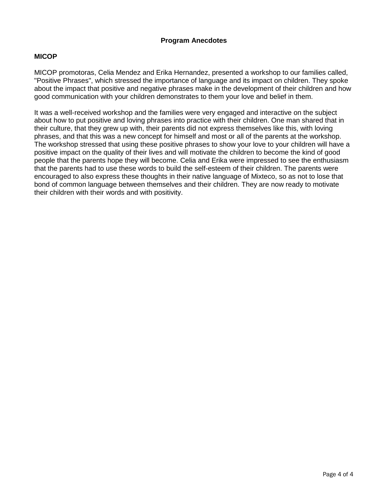#### **Program Anecdotes**

#### **MICOP**

MICOP promotoras, Celia Mendez and Erika Hernandez, presented a workshop to our families called, "Positive Phrases", which stressed the importance of language and its impact on children. They spoke about the impact that positive and negative phrases make in the development of their children and how good communication with your children demonstrates to them your love and belief in them.

It was a well-received workshop and the families were very engaged and interactive on the subject about how to put positive and loving phrases into practice with their children. One man shared that in their culture, that they grew up with, their parents did not express themselves like this, with loving phrases, and that this was a new concept for himself and most or all of the parents at the workshop. The workshop stressed that using these positive phrases to show your love to your children will have a positive impact on the quality of their lives and will motivate the children to become the kind of good people that the parents hope they will become. Celia and Erika were impressed to see the enthusiasm that the parents had to use these words to build the self-esteem of their children. The parents were encouraged to also express these thoughts in their native language of Mixteco, so as not to lose that bond of common language between themselves and their children. They are now ready to motivate their children with their words and with positivity.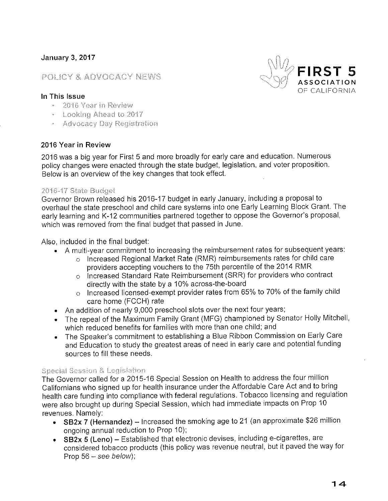# **January 3, 2017**

# POLICY & ADVOCACY NEWS



#### In This Issue

- 2016 Year in Review
- Looking Ahead to 2017
- · Advocacy Day Registration

#### 2016 Year in Review

2016 was a big year for First 5 and more broadly for early care and education. Numerous policy changes were enacted through the state budget, legislation, and voter proposition. Below is an overview of the key changes that took effect.

#### 2016-17 State Budget

Governor Brown released his 2016-17 budget in early January, including a proposal to overhaul the state preschool and child care systems into one Early Learning Block Grant. The early learning and K-12 communities partnered together to oppose the Governor's proposal, which was removed from the final budget that passed in June.

Also, included in the final budget:

- A multi-vear commitment to increasing the reimbursement rates for subsequent years:
	- o Increased Regional Market Rate (RMR) reimbursements rates for child care providers accepting vouchers to the 75th percentile of the 2014 RMR
	- o Increased Standard Rate Reimbursement (SRR) for providers who contract directly with the state by a 10% across-the-board
	- o Increased licensed-exempt provider rates from 65% to 70% of the family child care home (FCCH) rate
- An addition of nearly 9,000 preschool slots over the next four years;  $\bullet$
- The repeal of the Maximum Family Grant (MFG) championed by Senator Holly Mitchell, which reduced benefits for families with more than one child; and
- The Speaker's commitment to establishing a Blue Ribbon Commission on Early Care and Education to study the greatest areas of need in early care and potential funding sources to fill these needs.

#### Special Session & Legislation

The Governor called for a 2015-16 Special Session on Health to address the four million Californians who signed up for health insurance under the Affordable Care Act and to bring health care funding into compliance with federal regulations. Tobacco licensing and regulation were also brought up during Special Session, which had immediate impacts on Prop 10 revenues. Namely:

- SB2x 7 (Hernandez) Increased the smoking age to 21 (an approximate \$26 million ongoing annual reduction to Prop 10);
- SB2x 5 (Leno) Established that electronic devises, including e-cigarettes, are considered tobacco products (this policy was revenue neutral, but it paved the way for Prop  $56 -$ see below);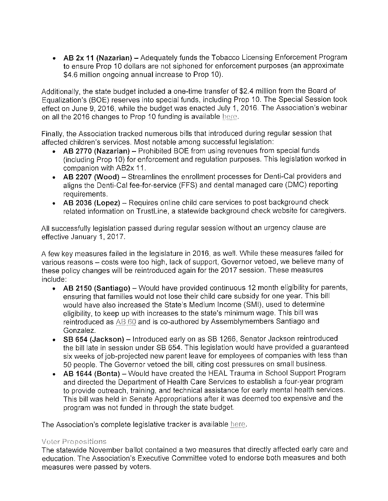• AB 2x 11 (Nazarian) - Adequately funds the Tobacco Licensing Enforcement Program to ensure Prop 10 dollars are not siphoned for enforcement purposes (an approximate \$4.6 million ongoing annual increase to Prop 10).

Additionally, the state budget included a one-time transfer of \$2.4 million from the Board of Equalization's (BOE) reserves into special funds, including Prop 10. The Special Session took effect on June 9, 2016, while the budget was enacted July 1, 2016. The Association's webinar on all the 2016 changes to Prop 10 funding is available here.

Finally, the Association tracked numerous bills that introduced during regular session that affected children's services. Most notable among successful legislation:

- AB 2770 (Nazarian) Prohibited BOE from using revenues from special funds (including Prop 10) for enforcement and regulation purposes. This legislation worked in companion with AB2x 11.
- AB 2207 (Wood) Streamlines the enrollment processes for Denti-Cal providers and aligns the Denti-Cal fee-for-service (FFS) and dental managed care (DMC) reporting requirements.
- AB 2036 (Lopez) Requires online child care services to post background check related information on TrustLine, a statewide background check website for caregivers.

All successfully legislation passed during regular session without an urgency clause are effective January 1, 2017.

A few key measures failed in the legislature in 2016, as well. While these measures failed for various reasons - costs were too high, lack of support, Governor vetoed, we believe many of these policy changes will be reintroduced again for the 2017 session. These measures include:

- AB 2150 (Santiago) Would have provided continuous 12 month eligibility for parents, ensuring that families would not lose their child care subsidy for one year. This bill would have also increased the State's Medium Income (SMI), used to determine eligibility, to keep up with increases to the state's minimum wage. This bill was reintroduced as AB 60 and is co-authored by Assemblymembers Santiago and Gonzalez.
- SB 654 (Jackson) Introduced early on as SB 1266, Senator Jackson reintroduced the bill late in session under SB 654. This legislation would have provided a guaranteed six weeks of job-projected new parent leave for employees of companies with less than 50 people. The Governor vetoed the bill, citing cost pressures on small business.
- AB 1644 (Bonta) Would have created the HEAL Trauma in School Support Program and directed the Department of Health Care Services to establish a four-year program to provide outreach, training, and technical assistance for early mental health services. This bill was held in Senate Appropriations after it was deemed too expensive and the program was not funded in through the state budget.

The Association's complete legislative tracker is available here.

#### **Voter Propositions**

The statewide November ballot contained a two measures that directly affected early care and education. The Association's Executive Committee voted to endorse both measures and both measures were passed by voters.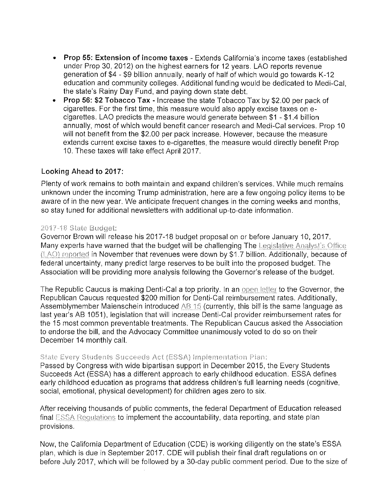- Prop 55: Extension of income taxes Extends California's income taxes (established under Prop 30, 2012) on the highest earners for 12 years. LAO reports revenue generation of \$4 - \$9 billion annually, nearly of half of which would go towards K-12 education and community colleges. Additional funding would be dedicated to Medi-Cal. the state's Rainy Day Fund, and paying down state debt.
- Prop 56: \$2 Tobacco Tax Increase the state Tobacco Tax by \$2.00 per pack of cigarettes. For the first time, this measure would also apply excise taxes on ecigarettes. LAO predicts the measure would generate between \$1 - \$1.4 billion annually, most of which would benefit cancer research and Medi-Cal services. Prop 10 will not benefit from the \$2.00 per pack increase. However, because the measure extends current excise taxes to e-cigarettes, the measure would directly benefit Prop 10. These taxes will take effect April 2017.

### Looking Ahead to 2017:

Plenty of work remains to both maintain and expand children's services. While much remains unknown under the incoming Trump administration, here are a few ongoing policy items to be aware of in the new year. We anticipate frequent changes in the coming weeks and months. so stay tuned for additional newsletters with additional up-to-date information.

#### 2017-18 State Budget:

Governor Brown will release his 2017-18 budget proposal on or before January 10, 2017. Many experts have warned that the budget will be challenging The Legislative Analyst's Office (LAO) reported in November that revenues were down by \$1.7 billion. Additionally, because of federal uncertainty, many predict large reserves to be built into the proposed budget. The Association will be providing more analysis following the Governor's release of the budget.

The Republic Caucus is making Denti-Cal a top priority. In an open letter to the Governor, the Republican Caucus requested \$200 million for Denti-Cal reimbursement rates. Additionally, Assemblymember Maienschein introduced AB 15 (currently, this bill is the same language as last year's AB 1051), legislation that will increase Denti-Cal provider reimbursement rates for the 15 most common preventable treatments. The Republican Caucus asked the Association to endorse the bill, and the Advocacy Committee unanimously voted to do so on their December 14 monthly call.

#### State Every Students Succeeds Act (ESSA) Implementation Plan:

Passed by Congress with wide bipartisan support in December 2015, the Every Students Succeeds Act (ESSA) has a different approach to early childhood education. ESSA defines early childhood education as programs that address children's full learning needs (cognitive, social, emotional, physical development) for children ages zero to six.

After receiving thousands of public comments, the federal Department of Education released final ESSA Requiations to implement the accountability, data reporting, and state plan provisions.

Now, the California Department of Education (CDE) is working diligently on the state's ESSA plan, which is due in September 2017. CDE will publish their final draft regulations on or before July 2017, which will be followed by a 30-day public comment period. Due to the size of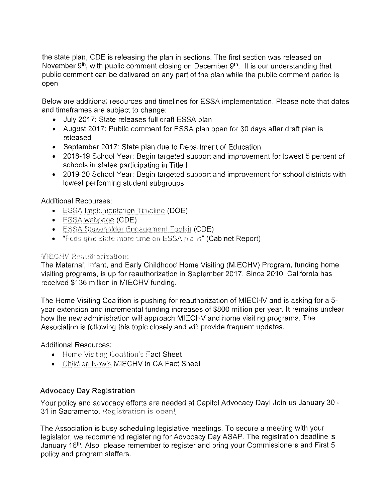the state plan, CDE is releasing the plan in sections. The first section was released on November  $9<sup>th</sup>$ , with public comment closing on December  $9<sup>th</sup>$ . It is our understanding that public comment can be delivered on any part of the plan while the public comment period is open.

Below are additional resources and timelines for ESSA implementation. Please note that dates and timeframes are subject to change:

- July 2017: State releases full draft ESSA plan
- August 2017: Public comment for ESSA plan open for 30 days after draft plan is released
- September 2017: State plan due to Department of Education
- 2018-19 School Year: Begin targeted support and improvement for lowest 5 percent of schools in states participating in Title I
- 2019-20 School Year: Begin targeted support and improvement for school districts with lowest performing student subgroups

# **Additional Recourses:**

- ESSA Implementation Timeline (DOE)
- $\bullet$  ESSA webpage (CDE)
- ESSA Stakeholder Engagement Toolkit (CDE)
- "Feds give state more time on ESSA plans" (Cabinet Report)

# **MIECHV Reauthorization:**

The Maternal, Infant, and Early Childhood Home Visiting (MIECHV) Program, funding home visiting programs, is up for reauthorization in September 2017. Since 2010, California has received \$136 million in MIECHV funding.

The Home Visiting Coalition is pushing for reauthorization of MIECHV and is asking for a 5year extension and incremental funding increases of \$800 million per year. It remains unclear how the new administration will approach MIECHV and home visiting programs. The Association is following this topic closely and will provide frequent updates.

# **Additional Resources:**

- Home Visiting Coalition's Fact Sheet
- Children Now's MIECHV in CA Fact Sheet

# **Advocacy Day Registration**

Your policy and advocacy efforts are needed at Capitol Advocacy Day! Join us January 30 -31 in Sacramento. Registration is open!

The Association is busy scheduling legislative meetings. To secure a meeting with your legislator, we recommend registering for Advocacy Day ASAP. The registration deadline is January 16<sup>th</sup>. Also, please remember to register and bring your Commissioners and First 5 policy and program staffers.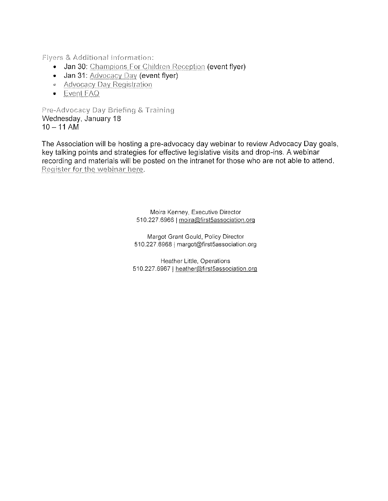Fivers & Additional Information:

- Jan 30: Champions For Children Reception (event flyer)
- Jan 31: Advocacy Day (event flyer)
- Advocacy Day Registration
- Event FAQ

Pre-Advocacy Day Briefing & Training Wednesday, January 18  $10 - 11$  AM

The Association will be hosting a pre-advocacy day webinar to review Advocacy Day goals, key talking points and strategies for effective legislative visits and drop-ins. A webinar recording and materials will be posted on the intranet for those who are not able to attend. Register for the webinar here.

> Moira Kenney, Executive Director 510.227.6966 | moira@first5association.org

Margot Grant Gould, Policy Director 510.227.6968 | margot@first5association.org

Heather Little, Operations 510.227.6967 | heather@first5association.org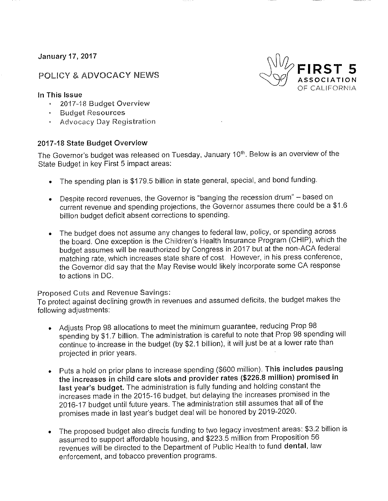**January 17, 2017** 

# **POLICY & ADVOCACY NEWS**



#### In This Issue

- 2017-18 Budget Overview
- · Budget Resources
- Advocacy Day Registration

### 2017-18 State Budget Overview

The Governor's budget was released on Tuesday, January 10th. Below is an overview of the State Budget in key First 5 impact areas:

- The spending plan is \$179.5 billion in state general, special, and bond funding.
- Despite record revenues, the Governor is "banging the recession drum" based on current revenue and spending projections, the Governor assumes there could be a \$1.6 billion budget deficit absent corrections to spending.
- The budget does not assume any changes to federal law, policy, or spending across the board. One exception is the Children's Health Insurance Program (CHIP), which the budget assumes will be reauthorized by Congress in 2017 but at the non-ACA federal matching rate, which increases state share of cost. However, in his press conference, the Governor did say that the May Revise would likely incorporate some CA response to actions in DC.

#### Proposed Cuts and Revenue Savings:

To protect against declining growth in revenues and assumed deficits, the budget makes the following adjustments:

- Adjusts Prop 98 allocations to meet the minimum guarantee, reducing Prop 98 spending by \$1.7 billion. The administration is careful to note that Prop 98 spending will continue to increase in the budget (by \$2.1 billion), it will just be at a lower rate than projected in prior years.
- Puts a hold on prior plans to increase spending (\$600 million). This includes pausing the increases in child care slots and provider rates (\$226.8 million) promised in last year's budget. The administration is fully funding and holding constant the increases made in the 2015-16 budget, but delaying the increases promised in the 2016-17 budget until future years. The administration still assumes that all of the promises made in last year's budget deal will be honored by 2019-2020.
- The proposed budget also directs funding to two legacy investment areas: \$3.2 billion is  $\bullet$ assumed to support affordable housing, and \$223.5 million from Proposition 56 revenues will be directed to the Department of Public Health to fund dental, law enforcement, and tobacco prevention programs.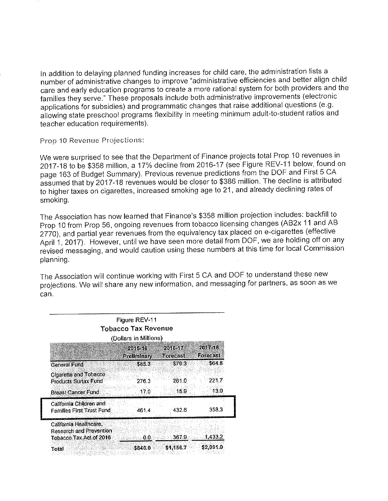In addition to delaying planned funding increases for child care, the administration lists a number of administrative changes to improve "administrative efficiencies and better align child care and early education programs to create a more rational system for both providers and the families they serve." These proposals include both administrative improvements (electronic applications for subsidies) and programmatic changes that raise additional questions (e.g. allowing state preschool programs flexibility in meeting minimum adult-to-student ratios and teacher education requirements).

Prop 10 Revenue Projections:

We were surprised to see that the Department of Finance projects total Prop 10 revenues in 2017-18 to be \$358 million, a 17% decline from 2016-17 (see Figure REV-11 below, found on page 163 of Budget Summary). Previous revenue predictions from the DOF and First 5 CA assumed that by 2017-18 revenues would be closer to \$386 million. The decline is attributed to higher taxes on cigarettes, increased smoking age to 21, and already declining rates of smoking.

The Association has now learned that Finance's \$358 million projection includes: backfill to Prop 10 from Prop 56, ongoing revenues from tobacco licensing changes (AB2x 11 and AB 2770), and partial year revenues from the equivalency tax placed on e-cigarettes (effective April 1, 2017). However, until we have seen more detail from DOF, we are holding off on any revised messaging, and would caution using these numbers at this time for local Commission planning.

The Association will continue working with First 5 CA and DOF to understand these new projections. We will share any new information, and messaging for partners, as soon as we can.

| Figure REV-11<br><b>Tobacco Tax Revenue</b><br>(Dollars in Millions)         |                      |                    |                    |
|------------------------------------------------------------------------------|----------------------|--------------------|--------------------|
|                                                                              | 20.153.5             | 20169194           | Angels<br>Forecast |
| General Fund                                                                 | Preliminary<br>585.3 | Forecast<br>\$79.3 | \$54.8             |
| Clgarette and Tobacco<br>Products Surtax Fund                                | 276.3                | 261.0              | 221.7              |
| <b>Breast Cancer Fund</b>                                                    | 17.0                 | 159                | 13 0               |
| California Children and<br>Families First Trust Fund,                        | 461.4                | 432.6              | 358.3.             |
| California Healthcare.<br>Research and Prevention<br>Tobacco Tax Act of 2016 | 0.0.                 | 367.9              | 14332              |
| Total                                                                        | \$840.0              | \$1,156.7          | \$2,091.0          |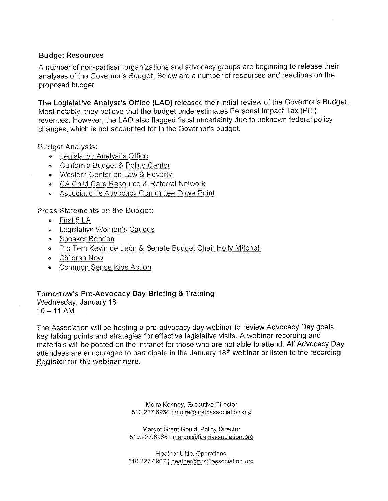### **Budget Resources**

A number of non-partisan organizations and advocacy groups are beginning to release their analyses of the Governor's Budget. Below are a number of resources and reactions on the proposed budget.

The Legislative Analyst's Office (LAO) released their initial review of the Governor's Budget. Most notably, they believe that the budget underestimates Personal Impact Tax (PIT) revenues. However, the LAO also flagged fiscal uncertainty due to unknown federal policy changes, which is not accounted for in the Governor's budget.

**Budget Analysis:** 

- Legislative Analyst's Office
- California Budget & Policy Center
- Western Center on Law & Poverty
- CA Child Care Resource & Referral Network
- Association's Advocacy Committee PowerPoint

Press Statements on the Budget:

- · First 5 LA
- Legislative Women's Caucus
- Speaker Rendon
- Pro Tem Kevin de León & Senate Budget Chair Holly Mitchell
- Children Now
- Common Sense Kids Action

# Tomorrow's Pre-Advocacy Day Briefing & Training

Wednesday, January 18  $10 - 11$  AM

The Association will be hosting a pre-advocacy day webinar to review Advocacy Day goals, key talking points and strategies for effective legislative visits. A webinar recording and materials will be posted on the intranet for those who are not able to attend. All Advocacy Day attendees are encouraged to participate in the January 18<sup>th</sup> webinar or listen to the recording. Register for the webinar here.

> Moira Kenney, Executive Director 510.227.6966 | moira@first5association.org

> Margot Grant Gould, Policy Director 510.227.6968 | margot@first5association.org

Heather Little, Operations 510.227.6967 | heather@first5association.org